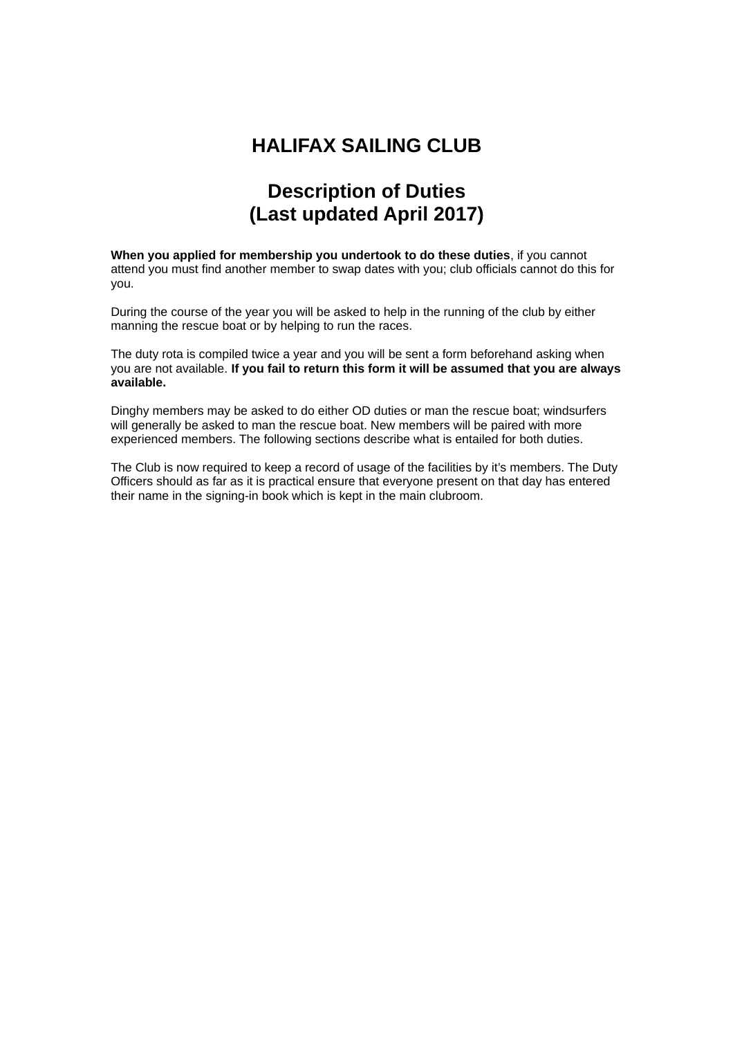## **HALIFAX SAILING CLUB**

## **Description of Duties (Last updated April 2017)**

**When you applied for membership you undertook to do these duties**, if you cannot attend you must find another member to swap dates with you; club officials cannot do this for you.

During the course of the year you will be asked to help in the running of the club by either manning the rescue boat or by helping to run the races.

The duty rota is compiled twice a year and you will be sent a form beforehand asking when you are not available. **If you fail to return this form it will be assumed that you are always available.**

Dinghy members may be asked to do either OD duties or man the rescue boat; windsurfers will generally be asked to man the rescue boat. New members will be paired with more experienced members. The following sections describe what is entailed for both duties.

The Club is now required to keep a record of usage of the facilities by it's members. The Duty Officers should as far as it is practical ensure that everyone present on that day has entered their name in the signing-in book which is kept in the main clubroom.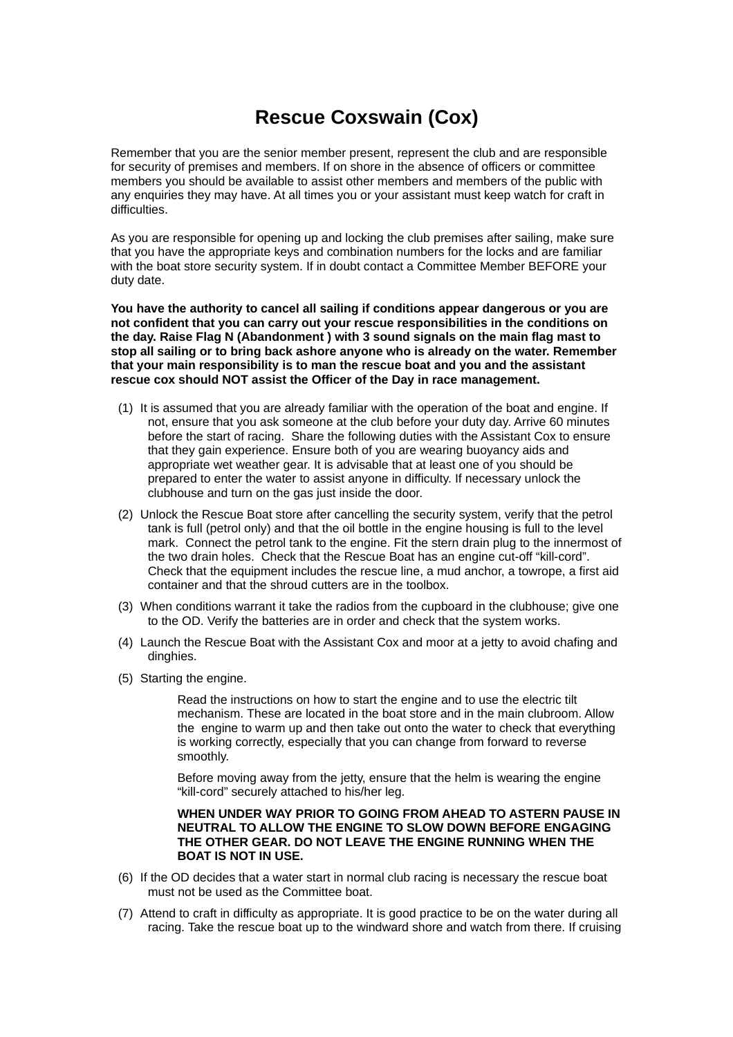# **Rescue Coxswain (Cox)**

Remember that you are the senior member present, represent the club and are responsible for security of premises and members. If on shore in the absence of officers or committee members you should be available to assist other members and members of the public with any enquiries they may have. At all times you or your assistant must keep watch for craft in difficulties.

As you are responsible for opening up and locking the club premises after sailing, make sure that you have the appropriate keys and combination numbers for the locks and are familiar with the boat store security system. If in doubt contact a Committee Member BEFORE your duty date.

**You have the authority to cancel all sailing if conditions appear dangerous or you are not confident that you can carry out your rescue responsibilities in the conditions on the day. Raise Flag N (Abandonment ) with 3 sound signals on the main flag mast to stop all sailing or to bring back ashore anyone who is already on the water. Remember that your main responsibility is to man the rescue boat and you and the assistant rescue cox should NOT assist the Officer of the Day in race management.**

- (1) It is assumed that you are already familiar with the operation of the boat and engine. If not, ensure that you ask someone at the club before your duty day. Arrive 60 minutes before the start of racing. Share the following duties with the Assistant Cox to ensure that they gain experience. Ensure both of you are wearing buoyancy aids and appropriate wet weather gear. It is advisable that at least one of you should be prepared to enter the water to assist anyone in difficulty. If necessary unlock the clubhouse and turn on the gas just inside the door.
- (2) Unlock the Rescue Boat store after cancelling the security system, verify that the petrol tank is full (petrol only) and that the oil bottle in the engine housing is full to the level mark. Connect the petrol tank to the engine. Fit the stern drain plug to the innermost of the two drain holes. Check that the Rescue Boat has an engine cut-off "kill-cord". Check that the equipment includes the rescue line, a mud anchor, a towrope, a first aid container and that the shroud cutters are in the toolbox.
- (3) When conditions warrant it take the radios from the cupboard in the clubhouse; give one to the OD. Verify the batteries are in order and check that the system works.
- (4) Launch the Rescue Boat with the Assistant Cox and moor at a jetty to avoid chafing and dinghies.
- (5) Starting the engine.

Read the instructions on how to start the engine and to use the electric tilt mechanism. These are located in the boat store and in the main clubroom. Allow the engine to warm up and then take out onto the water to check that everything is working correctly, especially that you can change from forward to reverse smoothly.

Before moving away from the jetty, ensure that the helm is wearing the engine "kill-cord" securely attached to his/her leg.

#### **WHEN UNDER WAY PRIOR TO GOING FROM AHEAD TO ASTERN PAUSE IN NEUTRAL TO ALLOW THE ENGINE TO SLOW DOWN BEFORE ENGAGING THE OTHER GEAR. DO NOT LEAVE THE ENGINE RUNNING WHEN THE BOAT IS NOT IN USE.**

- (6) If the OD decides that a water start in normal club racing is necessary the rescue boat must not be used as the Committee boat.
- (7) Attend to craft in difficulty as appropriate. It is good practice to be on the water during all racing. Take the rescue boat up to the windward shore and watch from there. If cruising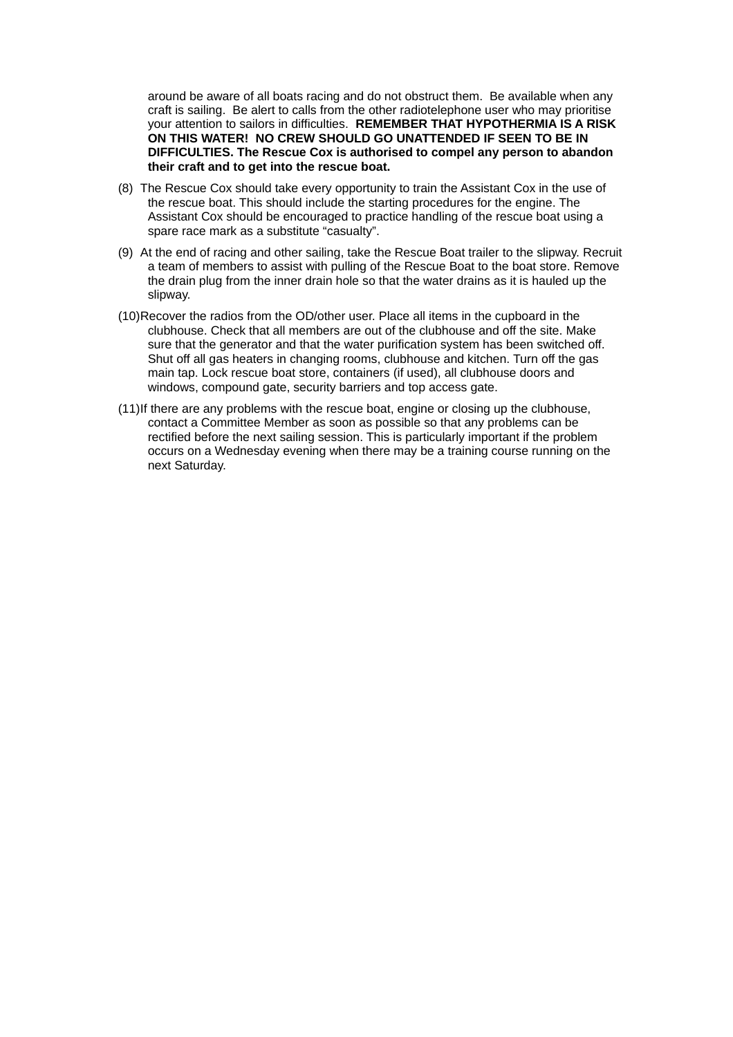around be aware of all boats racing and do not obstruct them. Be available when any craft is sailing. Be alert to calls from the other radiotelephone user who may prioritise your attention to sailors in difficulties. **REMEMBER THAT HYPOTHERMIA IS A RISK ON THIS WATER! NO CREW SHOULD GO UNATTENDED IF SEEN TO BE IN DIFFICULTIES. The Rescue Cox is authorised to compel any person to abandon their craft and to get into the rescue boat.**

- (8) The Rescue Cox should take every opportunity to train the Assistant Cox in the use of the rescue boat. This should include the starting procedures for the engine. The Assistant Cox should be encouraged to practice handling of the rescue boat using a spare race mark as a substitute "casualty".
- (9) At the end of racing and other sailing, take the Rescue Boat trailer to the slipway. Recruit a team of members to assist with pulling of the Rescue Boat to the boat store. Remove the drain plug from the inner drain hole so that the water drains as it is hauled up the slipway.
- (10)Recover the radios from the OD/other user. Place all items in the cupboard in the clubhouse. Check that all members are out of the clubhouse and off the site. Make sure that the generator and that the water purification system has been switched off. Shut off all gas heaters in changing rooms, clubhouse and kitchen. Turn off the gas main tap. Lock rescue boat store, containers (if used), all clubhouse doors and windows, compound gate, security barriers and top access gate.
- (11)If there are any problems with the rescue boat, engine or closing up the clubhouse, contact a Committee Member as soon as possible so that any problems can be rectified before the next sailing session. This is particularly important if the problem occurs on a Wednesday evening when there may be a training course running on the next Saturday.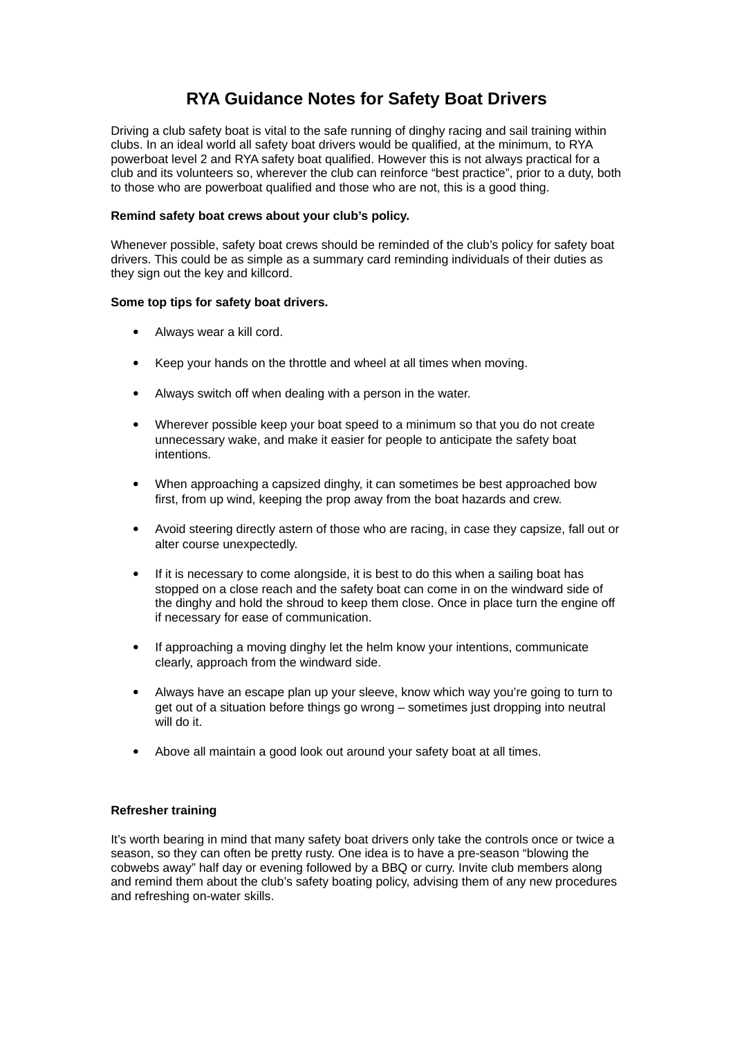## **RYA Guidance Notes for Safety Boat Drivers**

Driving a club safety boat is vital to the safe running of dinghy racing and sail training within clubs. In an ideal world all safety boat drivers would be qualified, at the minimum, to RYA powerboat level 2 and RYA safety boat qualified. However this is not always practical for a club and its volunteers so, wherever the club can reinforce "best practice", prior to a duty, both to those who are powerboat qualified and those who are not, this is a good thing.

### **Remind safety boat crews about your club's policy.**

Whenever possible, safety boat crews should be reminded of the club's policy for safety boat drivers. This could be as simple as a summary card reminding individuals of their duties as they sign out the key and killcord.

#### **Some top tips for safety boat drivers.**

- Always wear a kill cord.
- Keep your hands on the throttle and wheel at all times when moving.
- Always switch off when dealing with a person in the water.
- Wherever possible keep your boat speed to a minimum so that you do not create unnecessary wake, and make it easier for people to anticipate the safety boat intentions.
- When approaching a capsized dinghy, it can sometimes be best approached bow first, from up wind, keeping the prop away from the boat hazards and crew.
- Avoid steering directly astern of those who are racing, in case they capsize, fall out or alter course unexpectedly.
- If it is necessary to come alongside, it is best to do this when a sailing boat has stopped on a close reach and the safety boat can come in on the windward side of the dinghy and hold the shroud to keep them close. Once in place turn the engine off if necessary for ease of communication.
- If approaching a moving dinghy let the helm know your intentions, communicate clearly, approach from the windward side.
- Always have an escape plan up your sleeve, know which way you're going to turn to get out of a situation before things go wrong – sometimes just dropping into neutral will do it.
- Above all maintain a good look out around your safety boat at all times.

#### **Refresher training**

It's worth bearing in mind that many safety boat drivers only take the controls once or twice a season, so they can often be pretty rusty. One idea is to have a pre-season "blowing the cobwebs away" half day or evening followed by a BBQ or curry. Invite club members along and remind them about the club's safety boating policy, advising them of any new procedures and refreshing on-water skills.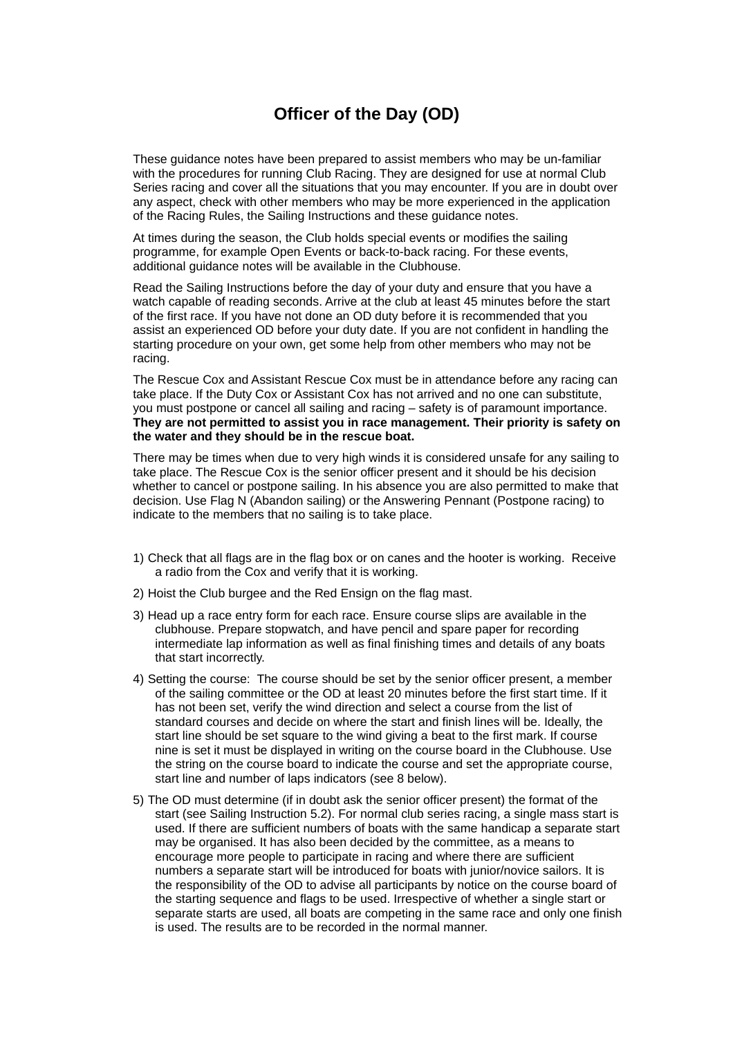### **Officer of the Day (OD)**

These guidance notes have been prepared to assist members who may be un-familiar with the procedures for running Club Racing. They are designed for use at normal Club Series racing and cover all the situations that you may encounter. If you are in doubt over any aspect, check with other members who may be more experienced in the application of the Racing Rules, the Sailing Instructions and these guidance notes.

At times during the season, the Club holds special events or modifies the sailing programme, for example Open Events or back-to-back racing. For these events, additional guidance notes will be available in the Clubhouse.

Read the Sailing Instructions before the day of your duty and ensure that you have a watch capable of reading seconds. Arrive at the club at least 45 minutes before the start of the first race. If you have not done an OD duty before it is recommended that you assist an experienced OD before your duty date. If you are not confident in handling the starting procedure on your own, get some help from other members who may not be racing.

The Rescue Cox and Assistant Rescue Cox must be in attendance before any racing can take place. If the Duty Cox or Assistant Cox has not arrived and no one can substitute, you must postpone or cancel all sailing and racing – safety is of paramount importance. **They are not permitted to assist you in race management. Their priority is safety on the water and they should be in the rescue boat.**

There may be times when due to very high winds it is considered unsafe for any sailing to take place. The Rescue Cox is the senior officer present and it should be his decision whether to cancel or postpone sailing. In his absence you are also permitted to make that decision. Use Flag N (Abandon sailing) or the Answering Pennant (Postpone racing) to indicate to the members that no sailing is to take place.

- 1) Check that all flags are in the flag box or on canes and the hooter is working. Receive a radio from the Cox and verify that it is working.
- 2) Hoist the Club burgee and the Red Ensign on the flag mast.
- 3) Head up a race entry form for each race. Ensure course slips are available in the clubhouse. Prepare stopwatch, and have pencil and spare paper for recording intermediate lap information as well as final finishing times and details of any boats that start incorrectly.
- 4) Setting the course: The course should be set by the senior officer present, a member of the sailing committee or the OD at least 20 minutes before the first start time. If it has not been set, verify the wind direction and select a course from the list of standard courses and decide on where the start and finish lines will be. Ideally, the start line should be set square to the wind giving a beat to the first mark. If course nine is set it must be displayed in writing on the course board in the Clubhouse. Use the string on the course board to indicate the course and set the appropriate course, start line and number of laps indicators (see 8 below).
- 5) The OD must determine (if in doubt ask the senior officer present) the format of the start (see Sailing Instruction 5.2). For normal club series racing, a single mass start is used. If there are sufficient numbers of boats with the same handicap a separate start may be organised. It has also been decided by the committee, as a means to encourage more people to participate in racing and where there are sufficient numbers a separate start will be introduced for boats with junior/novice sailors. It is the responsibility of the OD to advise all participants by notice on the course board of the starting sequence and flags to be used. Irrespective of whether a single start or separate starts are used, all boats are competing in the same race and only one finish is used. The results are to be recorded in the normal manner.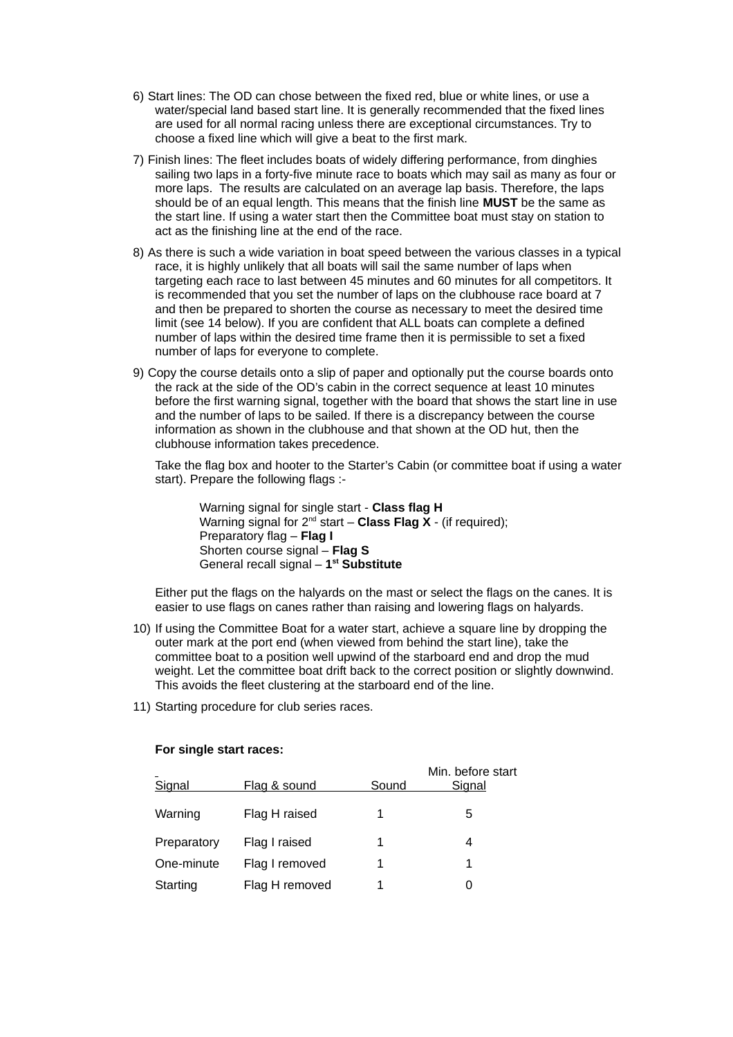- 6) Start lines: The OD can chose between the fixed red, blue or white lines, or use a water/special land based start line. It is generally recommended that the fixed lines are used for all normal racing unless there are exceptional circumstances. Try to choose a fixed line which will give a beat to the first mark.
- 7) Finish lines: The fleet includes boats of widely differing performance, from dinghies sailing two laps in a forty-five minute race to boats which may sail as many as four or more laps. The results are calculated on an average lap basis. Therefore, the laps should be of an equal length. This means that the finish line **MUST** be the same as the start line. If using a water start then the Committee boat must stay on station to act as the finishing line at the end of the race.
- 8) As there is such a wide variation in boat speed between the various classes in a typical race, it is highly unlikely that all boats will sail the same number of laps when targeting each race to last between 45 minutes and 60 minutes for all competitors. It is recommended that you set the number of laps on the clubhouse race board at 7 and then be prepared to shorten the course as necessary to meet the desired time limit (see 14 below). If you are confident that ALL boats can complete a defined number of laps within the desired time frame then it is permissible to set a fixed number of laps for everyone to complete.
- 9) Copy the course details onto a slip of paper and optionally put the course boards onto the rack at the side of the OD's cabin in the correct sequence at least 10 minutes before the first warning signal, together with the board that shows the start line in use and the number of laps to be sailed. If there is a discrepancy between the course information as shown in the clubhouse and that shown at the OD hut, then the clubhouse information takes precedence.

Take the flag box and hooter to the Starter's Cabin (or committee boat if using a water start). Prepare the following flags :-

Warning signal for single start - **Class flag H** Warning signal for 2<sup>nd</sup> start – **Class Flag X** - (if required); Preparatory flag – **Flag I** Shorten course signal – **Flag S** General recall signal – **1 st Substitute**

Either put the flags on the halyards on the mast or select the flags on the canes. It is easier to use flags on canes rather than raising and lowering flags on halyards.

- 10) If using the Committee Boat for a water start, achieve a square line by dropping the outer mark at the port end (when viewed from behind the start line), take the committee boat to a position well upwind of the starboard end and drop the mud weight. Let the committee boat drift back to the correct position or slightly downwind. This avoids the fleet clustering at the starboard end of the line.
- 11) Starting procedure for club series races.

| Signal      | Flag & sound   | Sound | Min. before start<br><b>Signal</b> |
|-------------|----------------|-------|------------------------------------|
| Warning     | Flag H raised  |       | 5                                  |
| Preparatory | Flag I raised  |       |                                    |
| One-minute  | Flag I removed | 1     |                                    |
| Starting    | Flag H removed |       |                                    |

#### **For single start races:**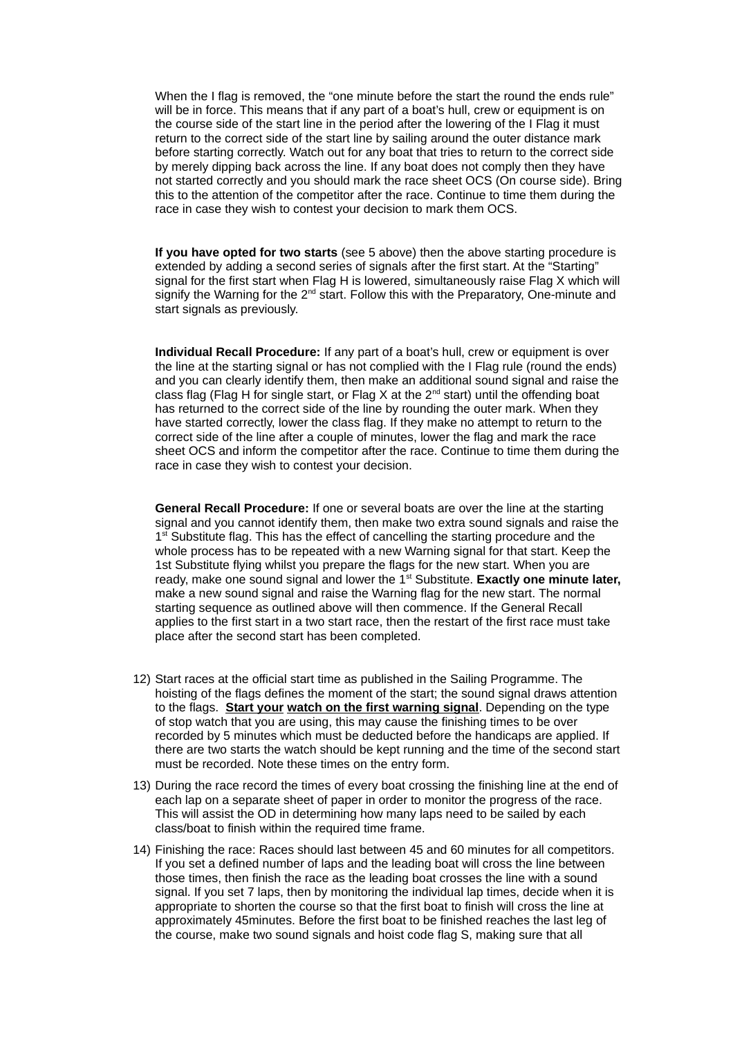When the I flag is removed, the "one minute before the start the round the ends rule" will be in force. This means that if any part of a boat's hull, crew or equipment is on the course side of the start line in the period after the lowering of the I Flag it must return to the correct side of the start line by sailing around the outer distance mark before starting correctly. Watch out for any boat that tries to return to the correct side by merely dipping back across the line. If any boat does not comply then they have not started correctly and you should mark the race sheet OCS (On course side). Bring this to the attention of the competitor after the race. Continue to time them during the race in case they wish to contest your decision to mark them OCS.

**If you have opted for two starts** (see 5 above) then the above starting procedure is extended by adding a second series of signals after the first start. At the "Starting" signal for the first start when Flag H is lowered, simultaneously raise Flag X which will signify the Warning for the  $2<sup>nd</sup>$  start. Follow this with the Preparatory, One-minute and start signals as previously.

**Individual Recall Procedure:** If any part of a boat's hull, crew or equipment is over the line at the starting signal or has not complied with the I Flag rule (round the ends) and you can clearly identify them, then make an additional sound signal and raise the class flag (Flag H for single start, or Flag X at the  $2^{nd}$  start) until the offending boat has returned to the correct side of the line by rounding the outer mark. When they have started correctly, lower the class flag. If they make no attempt to return to the correct side of the line after a couple of minutes, lower the flag and mark the race sheet OCS and inform the competitor after the race. Continue to time them during the race in case they wish to contest your decision.

**General Recall Procedure:** If one or several boats are over the line at the starting signal and you cannot identify them, then make two extra sound signals and raise the 1<sup>st</sup> Substitute flag. This has the effect of cancelling the starting procedure and the whole process has to be repeated with a new Warning signal for that start. Keep the 1st Substitute flying whilst you prepare the flags for the new start. When you are ready, make one sound signal and lower the 1<sup>st</sup> Substitute. **Exactly one minute later,** make a new sound signal and raise the Warning flag for the new start. The normal starting sequence as outlined above will then commence. If the General Recall applies to the first start in a two start race, then the restart of the first race must take place after the second start has been completed.

- 12) Start races at the official start time as published in the Sailing Programme. The hoisting of the flags defines the moment of the start; the sound signal draws attention to the flags. **Start your watch on the first warning signal**. Depending on the type of stop watch that you are using, this may cause the finishing times to be over recorded by 5 minutes which must be deducted before the handicaps are applied. If there are two starts the watch should be kept running and the time of the second start must be recorded. Note these times on the entry form.
- 13) During the race record the times of every boat crossing the finishing line at the end of each lap on a separate sheet of paper in order to monitor the progress of the race. This will assist the OD in determining how many laps need to be sailed by each class/boat to finish within the required time frame.
- 14) Finishing the race: Races should last between 45 and 60 minutes for all competitors. If you set a defined number of laps and the leading boat will cross the line between those times, then finish the race as the leading boat crosses the line with a sound signal. If you set 7 laps, then by monitoring the individual lap times, decide when it is appropriate to shorten the course so that the first boat to finish will cross the line at approximately 45minutes. Before the first boat to be finished reaches the last leg of the course, make two sound signals and hoist code flag S, making sure that all